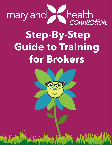

# **Step-By-Step Guide to Training for Brokers**



**Mary Anderson Anderson Connection 2022**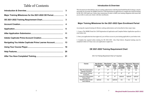#### **Introduction & Overview**

This document provides Brokers who are seeking authorization with Maryland Health Benefit Exchange a step by step guide for accessing The MHBE Portal for CAW Registration & Application to complete the required training for the 2021-2022 plan year. Follow these instructions in order to fulfill your training obligations and ensure that you are able to assist your clients with their enrollments.

#### **Major Training Milestones for the 2021-2022 Open Enrollment Period**

Accessing the required training for Brokers seeking authorization can be described in three major steps.

1. Create a The MHBE Portal for CAW Registration & Application and Complete Broker Application specific to your broker role.

2. Once your application has been approved; you will have access to your training applicable to your broker rrole.

3. Complete the required online training for OE 2021-2022 (See Chart below). Required training must be completed within in 45 days once your application is approved.

#### **OE 2021-2022 Training Requirement Chart**

## Table of Contents

|  |   | This document provides Brokers who are seeking authorization with Maryland I<br>step guide for accessing The MHBE Portal for CAW Registration & Application<br>for the 2021-2022 plan year. Follow these instructions in order to fulfill your tra |
|--|---|----------------------------------------------------------------------------------------------------------------------------------------------------------------------------------------------------------------------------------------------------|
|  |   | you are able to assist your clients with their enrollments.                                                                                                                                                                                        |
|  |   |                                                                                                                                                                                                                                                    |
|  |   | Major Training Milestones for the 2021-2022 Oper                                                                                                                                                                                                   |
|  | 6 | Accessing the required training for Brokers seeking authorization can be descri                                                                                                                                                                    |
|  |   | 1. Create a The MHBE Portal for CAW Registration & Application and Comple<br>your broker role.                                                                                                                                                     |
|  |   | 2. Once your application has been approved; you will have access to your training                                                                                                                                                                  |
|  |   | 3. Complete the required online training for OE 2021-2022 (See Chart be<br>completed within in 45 days once your application is approved.                                                                                                          |
|  |   | OE 2021-2022 Training Requirement                                                                                                                                                                                                                  |
|  |   |                                                                                                                                                                                                                                                    |
|  |   | OE 21-22 Training Requirement Chart (√ =required)                                                                                                                                                                                                  |

| Course                                               | <b>New Broker:</b><br>Individual and<br><b>SHOP</b> | <b>New Broker</b><br><b>Individual</b><br>Only | <b>New</b><br><b>Broker:</b><br><b>SHOP</b><br>Only | <b>Returning</b><br><b>Broker:</b><br><b>Individual</b><br>and SHOP | <b>Returning</b><br><b>Broker:</b><br><b>Individual</b><br>Only | Returning<br><b>Broker:</b><br><b>SHOP</b><br>Only |
|------------------------------------------------------|-----------------------------------------------------|------------------------------------------------|-----------------------------------------------------|---------------------------------------------------------------------|-----------------------------------------------------------------|----------------------------------------------------|
| 2021 Pre-Authorization<br><b>Training Curriculum</b> | ✔                                                   | $\checkmark$                                   | $\checkmark$                                        | n/a                                                                 | n/a                                                             | n/a                                                |
| 2021 Annual Training<br>Curriculum                   | $\checkmark$                                        | $\checkmark$                                   | $\checkmark$                                        | $\checkmark$                                                        | $\checkmark$                                                    | $\checkmark$                                       |
| <b>Consumer Portal System</b><br>Training 2021       | $\checkmark$                                        | $\checkmark$                                   | $\checkmark$                                        | optional                                                            | optional                                                        | optional                                           |
| <b>Small Biz Direct Enroll-</b><br>ment Webinar      | optional                                            | n/a                                            | optional                                            | n/a                                                                 | n/a                                                             | n/a                                                |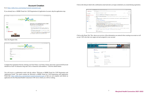<span id="page-2-0"></span>Go to [https://mhbe.force.com/training/CustomCommunityLogin](https://mhbe.force.com/training/CustomCommunityLogin ) 

If you already have a MHBE Portal for CAW Registration & Application Account, skip the application step.

| <b>BA</b><br>We Dada not called a photographer to play<br>maryland | 开工作<br>$\infty$                                                                                                                                                                                                                                                                                                                 |
|--------------------------------------------------------------------|---------------------------------------------------------------------------------------------------------------------------------------------------------------------------------------------------------------------------------------------------------------------------------------------------------------------------------|
| <b>ENGINE</b><br><b>Low retire</b><br><b>Mary's British</b>        | Welcome to the MHBE Portal for CAW<br>Registration and Application                                                                                                                                                                                                                                                              |
| mits<br><b><i>Electronical</i></b> Aut                             | In Glossow resistantly in gilber Regular, including pages.<br>2. We have a market when the above the concentration in appropriation<br>above any residence works side of the desire members and in an eligible at well who wants<br>FLU.S.                                                                                      |
| Elecció Personali?<br><b>Carriera</b>                              | To hand, you should go at a paper of your substitute in the colors, problem and we are three settings<br>surface: "New 244 horder I had these opportunit"<br>E. Flow on children comes that was national, and if factor At 7 Bellevilles Prifac wanted<br>THE REPORT OF THE THEFT WAS CITED FOR THE REPORT OF THE REPORT OF THE |
| <b>MARYLAND</b>                                                    | Those P Counsel by Edges of Inspection painted in the Paraget P Conservation in A Kape                                                                                                                                                                                                                                          |

Select the Register link.

| U.S. D. K. Recenterate compression that                                                                                                                                                                                                                                                                                                                                                          | $11.3 - 0.2.4$ |
|--------------------------------------------------------------------------------------------------------------------------------------------------------------------------------------------------------------------------------------------------------------------------------------------------------------------------------------------------------------------------------------------------|----------------|
| maryland health                                                                                                                                                                                                                                                                                                                                                                                  |                |
| Victions of NETs along Projected Propication Page: Process and Ablah Interplayers a men added Your parameters and be a most 10 discounts limit and thirds from<br>We in the entity and holders. Please contact was furnished as a Roman and provide a rest to provide a rest of the contact of the contact of the contact of the contact of the contact of the contact of the contact of the con |                |
| Fort Same                                                                                                                                                                                                                                                                                                                                                                                        |                |
| Are-<br>Lat kors                                                                                                                                                                                                                                                                                                                                                                                 |                |
| <b>ATM</b>                                                                                                                                                                                                                                                                                                                                                                                       |                |
| the hispanisor of this prints aren                                                                                                                                                                                                                                                                                                                                                               |                |
| <b>Porseio c</b>                                                                                                                                                                                                                                                                                                                                                                                 |                |
| <b>Garden Fourners'</b>                                                                                                                                                                                                                                                                                                                                                                          |                |
|                                                                                                                                                                                                                                                                                                                                                                                                  |                |
|                                                                                                                                                                                                                                                                                                                                                                                                  |                |

Complete the registration form by entering your First Name, Last Name, Email, and create a password (Password should be at least 10 characters long and a mix of characters and numbers). Click the submit button.

You will receive a confirmation email with the subject "Welcome to MHBE Portal for CAW Registration and Application Portal" The email contains the Welcome to MHBE Portal for CAW Registration and Application Portal link: [https://mhbe.force.com/training/CustomCommunityLogin](https://mhbe.force.com/training/CustomCommunityLogin ) so that you can complete and submit an application for the Maryland Health Connection CAW role in which you will be working.



Click on the Home Tab. This shows an overview of the information you entered when creating an account as well as any CAW roles that were approved and assigned to your account.



**Account Creation** Click on the link provided in the confirmation email and enter you login credentials you created during registration.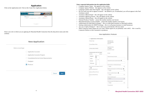#### **Application**

<span id="page-3-0"></span>Click on the Applications tab. Click on the Create New Application button.

| a writer continue commi-<br>$\sim$                                                                                                                                                                                                                                                                                                                                                                                                                                                                                  |                                                                                                                                                                                                                                                                                                                                                                                                                                                                             | <b>Contractor</b>                                                                                               |
|---------------------------------------------------------------------------------------------------------------------------------------------------------------------------------------------------------------------------------------------------------------------------------------------------------------------------------------------------------------------------------------------------------------------------------------------------------------------------------------------------------------------|-----------------------------------------------------------------------------------------------------------------------------------------------------------------------------------------------------------------------------------------------------------------------------------------------------------------------------------------------------------------------------------------------------------------------------------------------------------------------------|-----------------------------------------------------------------------------------------------------------------|
| $\Box$ Keepingtown +                                                                                                                                                                                                                                                                                                                                                                                                                                                                                                |                                                                                                                                                                                                                                                                                                                                                                                                                                                                             | are elector                                                                                                     |
| $\frac{1}{2} \left( \frac{1}{2} \right) \left( \frac{1}{2} \right) \left( \frac{1}{2} \right) \left( \frac{1}{2} \right) \left( \frac{1}{2} \right) \left( \frac{1}{2} \right) \left( \frac{1}{2} \right) \left( \frac{1}{2} \right) \left( \frac{1}{2} \right) \left( \frac{1}{2} \right) \left( \frac{1}{2} \right) \left( \frac{1}{2} \right) \left( \frac{1}{2} \right) \left( \frac{1}{2} \right) \left( \frac{1}{2} \right) \left( \frac{1}{2} \right) \left( \frac$<br>THE REPORT OF THE PARTY OF THE PARTY. | I was reason<br><b>All Linux Facts</b><br>with the control of                                                                                                                                                                                                                                                                                                                                                                                                               | <b>STATISTICS</b><br>and completely                                                                             |
| the probability of the second control of the second control of the second control of the second control of the                                                                                                                                                                                                                                                                                                                                                                                                      |                                                                                                                                                                                                                                                                                                                                                                                                                                                                             | the control of the second control of the control of the control of the control of the control of the control of |
|                                                                                                                                                                                                                                                                                                                                                                                                                                                                                                                     | TELEVISION CONTROL<br><b>POST CALL TO</b><br>with a change added to the<br>$\label{eq:3.1} \frac{1}{2} \left( \frac{1}{2} \left( \frac{1}{2} \frac{1}{2} \frac{1}{2} \frac{1}{2} \frac{1}{2} \frac{1}{2} \frac{1}{2} \frac{1}{2} \frac{1}{2} \frac{1}{2} \frac{1}{2} \frac{1}{2} \frac{1}{2} \frac{1}{2} \frac{1}{2} \frac{1}{2} \frac{1}{2} \frac{1}{2} \frac{1}{2} \frac{1}{2} \frac{1}{2} \frac{1}{2} \frac{1}{2} \frac{1}{2} \frac{1}{2} \frac{1}{2} \frac{1}{2} \frac$ |                                                                                                                 |

Select your role in which you are applying for Maryland Health Connection from the drop down menu and click continue.

#### **Enter requested information into the application fields:**

- Company/Agency Name this appears on the website
- Company Agency Website this appears on the website
- Languages spoken other than English this will appear on the website
- Do you want your info to appear in search? the default is yes. If unchecked, you will not appear in the Find Assistance search
- Assistance Offered Email this will appear on the website
- Assistance Offered in Person this will appear on the website
- Assistance Offered Phone this will appear on the website
- National Producer Number ensure this number matches your license
- Maryland Insurance License Number ensure this number matches your license
- Authorization for Individual Exchange? this is to individual insurance to Maryland residents
- Seeking Authorization for SHOP Exchange this is to sell group insurance to small businesses
- Are you a Captive Producer? this is only if you work directly with one carrier
- What Connector Entity Region do you work? (What region do you primarily work with?) this is used by Connector Entities to refer consumers to producers

| New Applio |  |  |  |
|------------|--|--|--|
|            |  |  |  |

|                                            | $\vee$ Application Information                                        |                                                         |                |
|--------------------------------------------|-----------------------------------------------------------------------|---------------------------------------------------------|----------------|
| New Application                            | Producer Type<br>Company/Agency Name                                  | Application Type<br>New Application<br>System ID        |                |
| Select a record type                       | Company Agency Website                                                | Application Status<br>In Progress<br>Application Number |                |
| Application Counselor                      | Languages spoken other than English                                   | Contact                                                 |                |
| Application Counselor Program              | Available<br>Chosen<br>×.<br>Albanian<br>m                            | *National Producer Number                               |                |
| Consolidated Service Center Representative | Arabic                                                                |                                                         |                |
| Navigator                                  | ٠<br>Bosnian                                                          | "Maryland Insurance License Number. O                   |                |
| • Producer                                 | Cantonese<br>$\rightarrow$                                            | "Authorization for individual Exchange?                 |                |
|                                            | Do you want your info appear on search?<br>$\overline{\phantom{a}}$ 0 | $\n  blue$                                              | ٠              |
|                                            | Assistance Offered Email                                              | "Seeking Authorization For SHOP Exchange? @             |                |
| Next<br>Cancel                             | G.<br>Assistance Offered In Person<br>ū.                              | --None--<br>"Are you a Captive Producer? @              | $\blacksquare$ |
|                                            | Assistance Offered Phone                                              | --None-                                                 | $\mathbf{w}$   |
|                                            | 日                                                                     | If Yes, For which Carrier?                              |                |
|                                            |                                                                       | -None-                                                  | ÷              |
|                                            |                                                                       | "What Connector Entity Region do you work               |                |
|                                            |                                                                       | --None-                                                 | $\mathbf{w}$   |
|                                            |                                                                       | *Created By ID                                          |                |

cation: Producer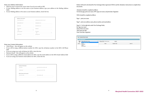Enter your Address Information:

- Please be sure to choose the correct state if you do not reside in MD.
- If your Mailing address is not the same as your business address, type your address in the Mailing Address fields.
- If your Mailing address is the same as your business address, check the box.

| * Business Address Line 1 | Is Malling & Business Address the same?<br>Ò |
|---------------------------|----------------------------------------------|
| Business Address Line 2   | Malling Address Line 1                       |
| *Business City            | Mailing Address Line 2                       |
| *Business State           | Malling City                                 |
| MD                        | $\overline{\mathbf{w}}$                      |
| *Business Zip Code        | Mailing State                                |
|                           | MD.<br>٠                                     |
| Business County           | Mailing Zip Code                             |
|                           |                                              |

Brokers will need to download the Non-Exchange Entity Agreement (NEEA) and the Attestation. Instructions to complete these documents:

Attestation should be completed as follows: On the last page, print your name, NPN, sign your name, and print date of signature

NEEA should be completed as follows:

Page 1 - print your name

Page 9 - print your address, name, phone number, and email address

Page 10 - On the right side, under Non-Exchange Entity: By: Sign your name Name: Print your name Title: Print your title Date: Print date of signature

|                | * Upinad Attachments                     |   |                            |                 |                  |
|----------------|------------------------------------------|---|----------------------------|-----------------|------------------|
| Select<br>Type | Select Attachment Type                   | ٠ | Choose File No file chosen | uprest          |                  |
|                | Select Attachment Type<br>180            |   |                            |                 |                  |
| Action         | Atlentation<br>NEEA<br><b>MD License</b> |   | Statute                    | Expiration Date | <b>Void Till</b> |

Enter your Contact Information:

- Work Phone this will appear on the website
- If you will be using a different phone number for MFA, type the cell phone number in the MFA Cell Phone field
- If you are using your work cell phone for MFA, check the box
- Business Email this will appear on the website
- If you will be using a different email address for MFA, type the email address in the MFA Email Address field
- If you are using your business email address for MFA, check the box

| * Work Phone                   | Use for MFA? (Must be a cell Phone) @<br>o |
|--------------------------------|--------------------------------------------|
| * Business Email               | Use Business email for MEA? @<br>o         |
| <b>MFA Contact Information</b> |                                            |
| MIACell Phone ®                | MIA Email Address @                        |
|                                |                                            |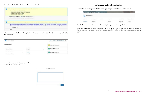After documents are loaded and the application is signed, brokers will need to click "Submit for Approval" at the top of the page

| Application<br>$\bullet$<br>AN-004228 |                          | Edit<br>Submit for Approval<br>Ramon<br>٠ |
|---------------------------------------|--------------------------|-------------------------------------------|
| <b>Application Detail</b>             |                          | Approval History (0)                      |
| Brocholm Type-<br>Individual And SHOP | Record Type:<br>Producer | D Open Activities (0)                     |
| Company/Agency Name                   | Contact<br>Test Lorie    | Activity History (0)                      |
| Company Agency Website                | Created By               |                                           |

A box will pop up and brokers should click Submit comments are not necessary.



<span id="page-5-0"></span>You will need to check the I Understand box and click "Sign"

You will also receive a confirmation email regarding the approval of your application.

Once the application is approved, you should look for a communication from Adobe Captivate Prime inviting them to create an account and login. You should receive this email within 3-5 business days after receiving approval.



After you have submitted your application, it will appear in your applications tab as "submitted."

|           |                        | MYHOME APPLICATIONS CHATTER |                   |  |
|-----------|------------------------|-----------------------------|-------------------|--|
| G.        | Applications           |                             |                   |  |
| System Id |                        | <b>USIN AGOS TRUSS</b>      | Contact<br>233.57 |  |
|           | ハウストラウンド<br>816-007593 |                             |                   |  |

### **After Application Submission**

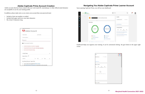#### **Adobe Captivate Prime Account Creation**

<span id="page-6-0"></span>Adobe accounts that have been created with your work email (IE, maryland.gov or other official email domains) are acceptable to use for your training profile.

In addition, please make note as you create your account that your password must:

- Include at least one number or symbol
- Include both upper and lower case latin characters
- Be at least 8 characters long.

| First name                                          | Last name |  |   |
|-----------------------------------------------------|-----------|--|---|
| Email address                                       |           |  |   |
| Password                                            |           |  |   |
| Your password needs to:                             |           |  |   |
|                                                     |           |  |   |
| include at least one number or symbol.              |           |  |   |
| include both lower and upper case latin characters. |           |  |   |
| be at least 8 characters long:                      |           |  |   |
| United States                                       |           |  | w |
| Date of birth <sup>0</sup>                          |           |  |   |

Upon opening Captivate Prime, you will see your dashboard:



Dashboard helps you organize your training. It can be customized clicking the gear button in the upper right corner.

| i i La           |               |                                         |             |
|------------------|---------------|-----------------------------------------|-------------|
| keral Teori      |               |                                         | Colorado de |
|                  |               |                                         |             |
| <b>HABILIANS</b> |               |                                         |             |
|                  | ning Calendar |                                         |             |
| ø                | œ             | m                                       | -91         |
|                  |               | 固                                       |             |
|                  |               | inse vånns planned för till supertrager |             |
|                  |               |                                         |             |
|                  |               |                                         |             |
|                  |               |                                         |             |



### **Navigating You Adobe Captivate Prime Learner Account**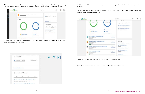When you click on the gear button, a dotted line will appear around your profile. Once it does, you can drag and drop the "widgets" (pieces of your profile) around within that space to organize them the way you prefer.

et's learn something new today.

 $\equiv$  Swet

My Skills

T General-Level 1

See at \$410m b

Learning Calendar

 $\begin{array}{ccccccccccccc} \text{(i)} & & \text{(ii)} & & \text{(iii)} & & \text{(iv)} & & \text{(iv)} \end{array}$ 

MHC Distillation Diger Registration (Tim.

MHC Call Center Certification Exam Regi ... December research in Sign IV, 2010

Simmers and in the Phillips

 $\mathbf{Q}_i$ 

 $100$  %-comple

40

nayton **Creative** 

My Learning

By Deadline

**E** Disponing Deathnes

**D**. O Dyrrdain

T0n1apk

#### The "By Deadline" donut on your screen lets you know about training that's overdue (in red) or nearing a deadline

(in yellow).

The "Pending Learning" donut on your screen uses shades of blue to let you know about courses and learning programs that have been assigned to you.



You may return to the top right of your screen to save your changes, reset your dashboard to its prior layout, or cancel the changes you have made.

viding Learn

I : Cartifications

**B** ELEVERSPrograms

**B** J Courses

| !! My Skills                            |  |
|-----------------------------------------|--|
| General - Level 1<br>100 % compl        |  |
| See all Skill Data >                    |  |
| : Learning Calendar                     |  |
| Q2<br>Q3<br>Q1<br>Q4                    |  |
| MHC Certification Exam Registration(Fir |  |

You can launch any of those trainings from the list directly below the donuts.

You will also find a recommended learning box below the list of assigned trainings.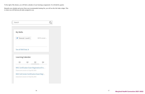To the right of the donuts, you will find a calendar of your learnings assignments. It is divided by quarter.

Beneath your calendar and across from your recommended training list, you will see the Job Aides widget. This is where you will find any job aides assigned to you.

| My Skills            |                                                                                                                          |                                   |             |  |
|----------------------|--------------------------------------------------------------------------------------------------------------------------|-----------------------------------|-------------|--|
| General - Level 1    |                                                                                                                          |                                   | 100 % compl |  |
| See all Skill Data > |                                                                                                                          |                                   |             |  |
|                      | Learning Calendar                                                                                                        |                                   |             |  |
| Q1                   | Q2                                                                                                                       | Q3                                | Q4          |  |
|                      | MHC Certification Exam Registration(Firs<br>Classroom session on Sep 09, 2020<br>MHC Call Center Certification Exam Regi | Classroom session on Sep 09, 2020 |             |  |

### **Maryland Health Connection 2021-2022**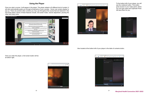<span id="page-9-0"></span>Once you start a course, it will appear in the player. This player adapts to fit different kind of content. It will also automatically guide you through all elements of your courses. Hover over screen playbar to pop up. There are several video controls you may use throughout the course that are featured in the red boxes below. Some of these features include, full screen mode, volume adjustment, pausing the video and many more.



Once you enter the player, a full screen button will be at bottom right.







see the notebook button. This button gives access to your notes panel, where you can type notes and Captivate Prime will save them for you.



Also located at the bottom left of your player is the table of contents button.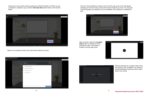During your course, there may be quizzes you will take through out. When you are prompted to complete a quiz, click the **Take Quiz Now** button shown in the red box below.



Below is an example of what a quiz will look like within the course.



Once you have selected an answer, hover over the pop up bar. A box will appear showing you how how many correct and incorrect answers you have. You may also view the answers you selected. If you are satisfied, click continue to complete the quiz.



After you finish, select the **complete video** button to indicate you have finished the video. This button is located in the top right corner.







Aftering selecting the complete video button, the course is now completed. You will see a prompt indicating to close your tab or head back to the course.